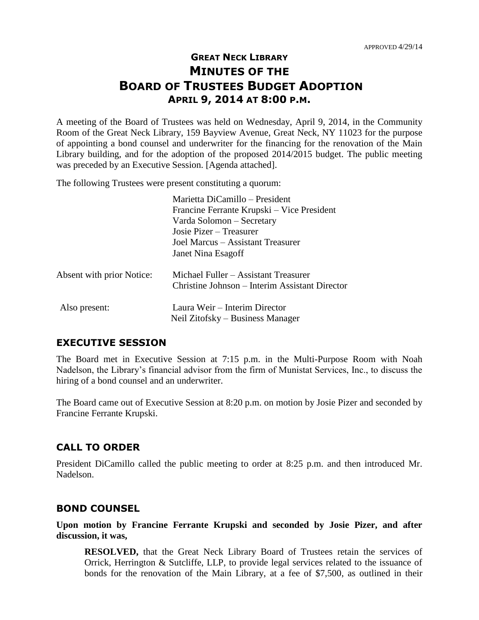# **GREAT NECK LIBRARY MINUTES OF THE BOARD OF TRUSTEES BUDGET ADOPTION APRIL 9, 2014 AT 8:00 P.M.**

A meeting of the Board of Trustees was held on Wednesday, April 9, 2014, in the Community Room of the Great Neck Library, 159 Bayview Avenue, Great Neck, NY 11023 for the purpose of appointing a bond counsel and underwriter for the financing for the renovation of the Main Library building, and for the adoption of the proposed 2014/2015 budget. The public meeting was preceded by an Executive Session. [Agenda attached].

The following Trustees were present constituting a quorum:

|                           | Marietta DiCamillo - President<br>Francine Ferrante Krupski – Vice President<br>Varda Solomon – Secretary<br>Josie Pizer – Treasurer<br>Joel Marcus – Assistant Treasurer<br>Janet Nina Esagoff |
|---------------------------|-------------------------------------------------------------------------------------------------------------------------------------------------------------------------------------------------|
| Absent with prior Notice: | Michael Fuller – Assistant Treasurer<br>Christine Johnson – Interim Assistant Director                                                                                                          |
| Also present:             | Laura Weir – Interim Director<br>Neil Zitofsky – Business Manager                                                                                                                               |

#### **EXECUTIVE SESSION**

The Board met in Executive Session at 7:15 p.m. in the Multi-Purpose Room with Noah Nadelson, the Library's financial advisor from the firm of Munistat Services, Inc., to discuss the hiring of a bond counsel and an underwriter.

The Board came out of Executive Session at 8:20 p.m. on motion by Josie Pizer and seconded by Francine Ferrante Krupski.

### **CALL TO ORDER**

President DiCamillo called the public meeting to order at 8:25 p.m. and then introduced Mr. Nadelson.

#### **BOND COUNSEL**

**Upon motion by Francine Ferrante Krupski and seconded by Josie Pizer, and after discussion, it was,**

**RESOLVED,** that the Great Neck Library Board of Trustees retain the services of Orrick, Herrington & Sutcliffe, LLP, to provide legal services related to the issuance of bonds for the renovation of the Main Library, at a fee of \$7,500, as outlined in their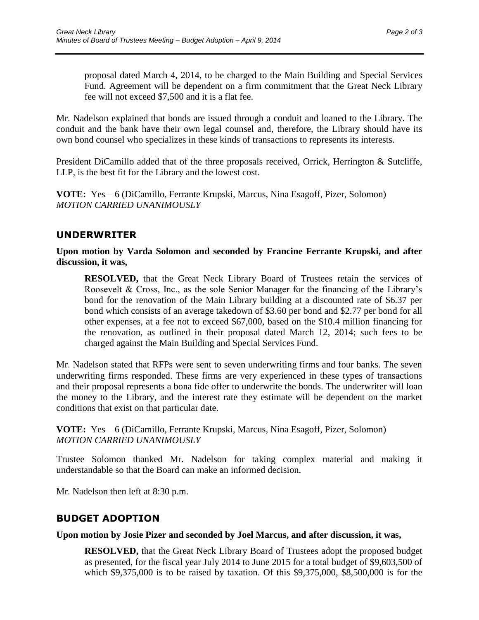proposal dated March 4, 2014, to be charged to the Main Building and Special Services Fund. Agreement will be dependent on a firm commitment that the Great Neck Library fee will not exceed \$7,500 and it is a flat fee.

Mr. Nadelson explained that bonds are issued through a conduit and loaned to the Library. The conduit and the bank have their own legal counsel and, therefore, the Library should have its own bond counsel who specializes in these kinds of transactions to represents its interests.

President DiCamillo added that of the three proposals received, Orrick, Herrington & Sutcliffe, LLP, is the best fit for the Library and the lowest cost.

**VOTE:** Yes – 6 (DiCamillo, Ferrante Krupski, Marcus, Nina Esagoff, Pizer, Solomon) *MOTION CARRIED UNANIMOUSLY*

## **UNDERWRITER**

**Upon motion by Varda Solomon and seconded by Francine Ferrante Krupski, and after discussion, it was,**

**RESOLVED,** that the Great Neck Library Board of Trustees retain the services of Roosevelt & Cross, Inc., as the sole Senior Manager for the financing of the Library's bond for the renovation of the Main Library building at a discounted rate of \$6.37 per bond which consists of an average takedown of \$3.60 per bond and \$2.77 per bond for all other expenses, at a fee not to exceed \$67,000, based on the \$10.4 million financing for the renovation, as outlined in their proposal dated March 12, 2014; such fees to be charged against the Main Building and Special Services Fund.

Mr. Nadelson stated that RFPs were sent to seven underwriting firms and four banks. The seven underwriting firms responded. These firms are very experienced in these types of transactions and their proposal represents a bona fide offer to underwrite the bonds. The underwriter will loan the money to the Library, and the interest rate they estimate will be dependent on the market conditions that exist on that particular date.

**VOTE:** Yes – 6 (DiCamillo, Ferrante Krupski, Marcus, Nina Esagoff, Pizer, Solomon) *MOTION CARRIED UNANIMOUSLY*

Trustee Solomon thanked Mr. Nadelson for taking complex material and making it understandable so that the Board can make an informed decision.

Mr. Nadelson then left at 8:30 p.m.

# **BUDGET ADOPTION**

### **Upon motion by Josie Pizer and seconded by Joel Marcus, and after discussion, it was,**

**RESOLVED,** that the Great Neck Library Board of Trustees adopt the proposed budget as presented, for the fiscal year July 2014 to June 2015 for a total budget of \$9,603,500 of which \$9,375,000 is to be raised by taxation. Of this \$9,375,000, \$8,500,000 is for the